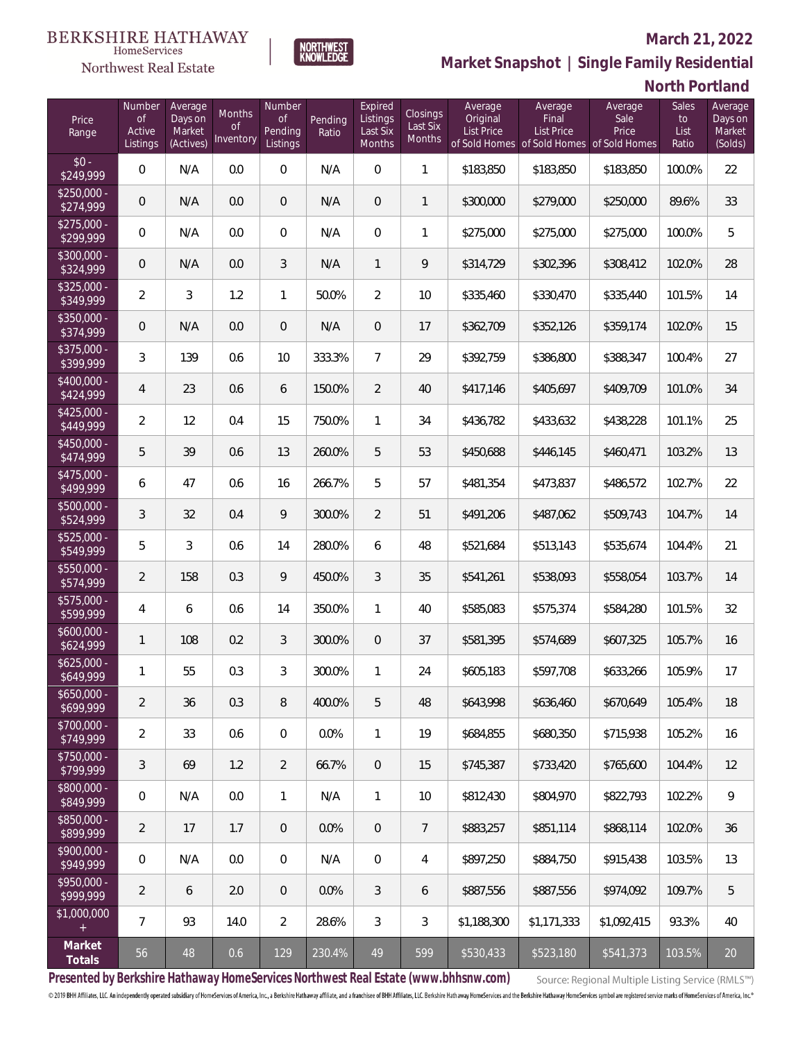## Northwest Real Estate

### **March 21, 2022**



# **North Portland**

| Price<br>Range            | Number<br><b>of</b><br>Active<br>Listings | Average<br>Days on<br>Market<br>(Actives) | Months<br><b>of</b><br>Inventory | Number<br><b>of</b><br>Pending<br>Listings | Pending<br>Ratio | Expired<br>Listings<br>Last Six<br>Months | Closings<br>Last Six<br><b>Months</b> | Average<br>Original<br>List Price | Average<br>Final<br><b>List Price</b><br>of Sold Homes of Sold Homes of Sold Homes | Average<br>Sale<br>Price | Sales<br>to<br>List<br>Ratio | Average<br>Days on<br>Market<br>(Solds) |
|---------------------------|-------------------------------------------|-------------------------------------------|----------------------------------|--------------------------------------------|------------------|-------------------------------------------|---------------------------------------|-----------------------------------|------------------------------------------------------------------------------------|--------------------------|------------------------------|-----------------------------------------|
| $$0 -$<br>\$249,999       | $\overline{0}$                            | N/A                                       | 0.0                              | $\overline{0}$                             | N/A              | $\overline{0}$                            | $\mathbf{1}$                          | \$183,850                         | \$183,850                                                                          | \$183,850                | 100.0%                       | 22                                      |
| $$250,000 -$<br>\$274,999 | $\overline{0}$                            | N/A                                       | 0.0                              | $\overline{0}$                             | N/A              | $\overline{0}$                            | $\mathbf{1}$                          | \$300,000                         | \$279,000                                                                          | \$250,000                | 89.6%                        | 33                                      |
| $$275,000 -$<br>\$299,999 | 0                                         | N/A                                       | 0.0                              | $\mathbf{0}$                               | N/A              | $\overline{0}$                            | $\mathbf{1}$                          | \$275,000                         | \$275,000                                                                          | \$275,000                | 100.0%                       | 5                                       |
| $$300,000 -$<br>\$324,999 | $\overline{0}$                            | N/A                                       | 0.0                              | 3                                          | N/A              | $\mathbf{1}$                              | 9                                     | \$314,729                         | \$302,396                                                                          | \$308,412                | 102.0%                       | 28                                      |
| $$325,000 -$<br>\$349,999 | $\overline{2}$                            | 3                                         | 1.2                              | $\mathbf{1}$                               | 50.0%            | $\overline{2}$                            | 10                                    | \$335,460                         | \$330,470                                                                          | \$335,440                | 101.5%                       | 14                                      |
| $$350,000 -$<br>\$374,999 | $\overline{0}$                            | N/A                                       | 0.0                              | $\overline{0}$                             | N/A              | $\overline{0}$                            | 17                                    | \$362,709                         | \$352,126                                                                          | \$359,174                | 102.0%                       | 15                                      |
| $$375,000 -$<br>\$399,999 | 3                                         | 139                                       | 0.6                              | 10                                         | 333.3%           | $\overline{7}$                            | 29                                    | \$392,759                         | \$386,800                                                                          | \$388,347                | 100.4%                       | 27                                      |
| $$400,000 -$<br>\$424,999 | 4                                         | 23                                        | 0.6                              | 6                                          | 150.0%           | $\overline{2}$                            | 40                                    | \$417,146                         | \$405,697                                                                          | \$409,709                | 101.0%                       | 34                                      |
| $$425,000 -$<br>\$449,999 | $\overline{2}$                            | 12                                        | 0.4                              | 15                                         | 750.0%           | 1                                         | 34                                    | \$436,782                         | \$433,632                                                                          | \$438,228                | 101.1%                       | 25                                      |
| $$450,000 -$<br>\$474,999 | 5                                         | 39                                        | 0.6                              | 13                                         | 260.0%           | 5                                         | 53                                    | \$450,688                         | \$446,145                                                                          | \$460,471                | 103.2%                       | 13                                      |
| $$475,000 -$<br>\$499,999 | 6                                         | 47                                        | 0.6                              | 16                                         | 266.7%           | 5                                         | 57                                    | \$481,354                         | \$473,837                                                                          | \$486,572                | 102.7%                       | 22                                      |
| $$500,000 -$<br>\$524,999 | 3                                         | 32                                        | 0.4                              | 9                                          | 300.0%           | $\overline{2}$                            | 51                                    | \$491,206                         | \$487,062                                                                          | \$509,743                | 104.7%                       | 14                                      |
| $$525,000 -$<br>\$549,999 | 5                                         | 3                                         | 0.6                              | 14                                         | 280.0%           | 6                                         | 48                                    | \$521,684                         | \$513,143                                                                          | \$535,674                | 104.4%                       | 21                                      |
| \$550,000 -<br>\$574,999  | $\overline{2}$                            | 158                                       | 0.3                              | 9                                          | 450.0%           | 3                                         | 35                                    | \$541,261                         | \$538,093                                                                          | \$558,054                | 103.7%                       | 14                                      |
| $$575,000 -$<br>\$599,999 | 4                                         | 6                                         | 0.6                              | 14                                         | 350.0%           | $\mathbf{1}$                              | 40                                    | \$585,083                         | \$575,374                                                                          | \$584,280                | 101.5%                       | 32                                      |
| $$600,000 -$<br>\$624,999 | $\mathbf{1}$                              | 108                                       | 0.2                              | 3                                          | 300.0%           | $\overline{0}$                            | 37                                    | \$581,395                         | \$574,689                                                                          | \$607,325                | 105.7%                       | 16                                      |
| $$625,000 -$<br>\$649,999 | 1                                         | 55                                        | 0.3                              | 3                                          | 300.0%           | $\mathbf{1}$                              | 24                                    | \$605,183                         | \$597,708                                                                          | \$633,266                | 105.9%                       | 17                                      |
| $$650,000 -$<br>\$699,999 | $\overline{2}$                            | 36                                        | 0.3                              | 8                                          | 400.0%           | 5                                         | 48                                    | \$643,998                         | \$636,460                                                                          | \$670,649                | 105.4%                       | 18                                      |
| \$700,000 -<br>\$749,999  | $\overline{2}$                            | 33                                        | 0.6                              | $\overline{0}$                             | 0.0%             | $\mathbf{1}$                              | 19                                    | \$684,855                         | \$680,350                                                                          | \$715,938                | 105.2%                       | 16                                      |
| \$750,000 -<br>\$799,999  | 3                                         | 69                                        | 1.2                              | $\overline{2}$                             | 66.7%            | $\overline{0}$                            | 15                                    | \$745,387                         | \$733,420                                                                          | \$765,600                | 104.4%                       | 12                                      |
| \$800,000 -<br>\$849,999  | 0                                         | N/A                                       | 0.0                              | 1                                          | N/A              | 1                                         | 10                                    | \$812,430                         | \$804,970                                                                          | \$822,793                | 102.2%                       | 9                                       |
| \$850,000 -<br>\$899,999  | $\overline{2}$                            | 17                                        | 1.7                              | $\mathbf{0}$                               | 0.0%             | $\overline{0}$                            | 7                                     | \$883,257                         | \$851,114                                                                          | \$868,114                | 102.0%                       | 36                                      |
| \$900,000 -<br>\$949,999  | 0                                         | N/A                                       | 0.0                              | $\mathbf 0$                                | N/A              | $\mathbf 0$                               | 4                                     | \$897,250                         | \$884,750                                                                          | \$915,438                | 103.5%                       | 13                                      |
| \$950,000 -<br>\$999,999  | $\overline{a}$                            | 6                                         | 2.0                              | $\overline{0}$                             | 0.0%             | 3                                         | 6                                     | \$887,556                         | \$887,556                                                                          | \$974,092                | 109.7%                       | 5                                       |
| \$1,000,000<br>$+$        | $\overline{7}$                            | 93                                        | 14.0                             | $\overline{2}$                             | 28.6%            | 3                                         | 3                                     | \$1,188,300                       | \$1,171,333                                                                        | \$1,092,415              | 93.3%                        | 40                                      |
| Market<br>Totals          | 56                                        | 48                                        | 0.6                              | 129                                        | 230.4%           | 49                                        | 599                                   | \$530,433                         | \$523,180                                                                          | \$541,373                | 103.5%                       | $20\,$                                  |

NORTHWEST<br>KNOWLFDGF

**Presented by Berkshire Hathaway HomeServices Northwest Real Estate (www.bhhsnw.com)**

Source: Regional Multiple Listing Service (RMLS™)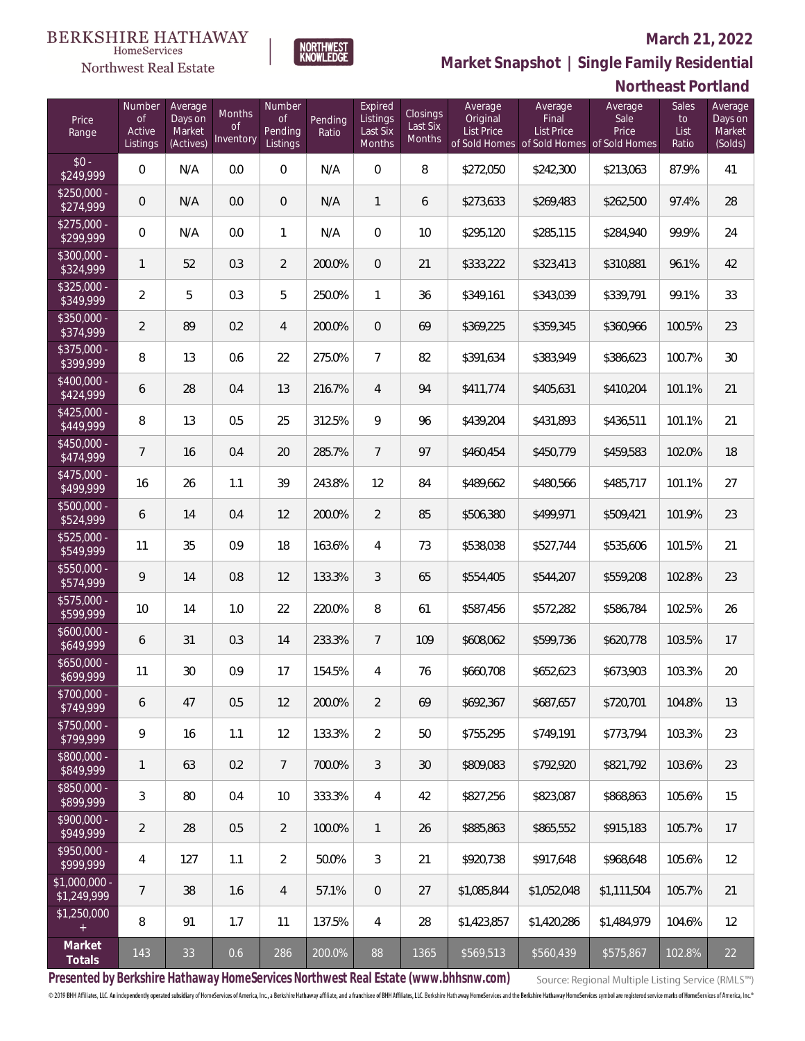## Northwest Real Estate

### **March 21, 2022**



|                               |                                           |                                           |                                                |                                     |                  |                                           |                                       |                                          |                                       | 1 VU 11 1000 1                                                        |                                     |                                         |
|-------------------------------|-------------------------------------------|-------------------------------------------|------------------------------------------------|-------------------------------------|------------------|-------------------------------------------|---------------------------------------|------------------------------------------|---------------------------------------|-----------------------------------------------------------------------|-------------------------------------|-----------------------------------------|
| Price<br>Range                | Number<br><b>of</b><br>Active<br>Listings | Average<br>Days on<br>Market<br>(Actives) | <b>Months</b><br><b>of</b><br><b>Inventory</b> | Number<br>0f<br>Pending<br>Listings | Pending<br>Ratio | Expired<br>Listings<br>Last Six<br>Months | Closings<br>Last Six<br><b>Months</b> | Average<br>Original<br><b>List Price</b> | Average<br>Final<br><b>List Price</b> | Average<br>Sale<br>Price<br>of Sold Homes of Sold Homes of Sold Homes | <b>Sales</b><br>to<br>List<br>Ratio | Average<br>Days on<br>Market<br>(Solds) |
| $$0 -$<br>\$249,999           | 0                                         | N/A                                       | 0.0                                            | $\boldsymbol{0}$                    | N/A              | $\mathbf 0$                               | 8                                     | \$272,050                                | \$242,300                             | \$213,063                                                             | 87.9%                               | 41                                      |
| $$250,000 -$<br>\$274,999     | 0                                         | N/A                                       | 0.0                                            | $\overline{0}$                      | N/A              | $\mathbf{1}$                              | 6                                     | \$273,633                                | \$269,483                             | \$262,500                                                             | 97.4%                               | 28                                      |
| $$275,000 -$<br>\$299,999     | $\boldsymbol{0}$                          | N/A                                       | 0.0                                            | 1                                   | N/A              | $\boldsymbol{0}$                          | 10                                    | \$295,120                                | \$285,115                             | \$284,940                                                             | 99.9%                               | 24                                      |
| $$300,000 -$<br>\$324,999     | 1                                         | 52                                        | 0.3                                            | $\overline{2}$                      | 200.0%           | $\boldsymbol{0}$                          | 21                                    | \$333,222                                | \$323,413                             | \$310,881                                                             | 96.1%                               | 42                                      |
| $$325,000 -$<br>\$349,999     | $\overline{2}$                            | 5                                         | 0.3                                            | 5                                   | 250.0%           | $\mathbf{1}$                              | 36                                    | \$349,161                                | \$343,039                             | \$339,791                                                             | 99.1%                               | 33                                      |
| $$350,000 -$<br>\$374,999     | $\overline{2}$                            | 89                                        | 0.2                                            | $\overline{4}$                      | 200.0%           | $\boldsymbol{0}$                          | 69                                    | \$369,225                                | \$359,345                             | \$360,966                                                             | 100.5%                              | 23                                      |
| \$375,000 -<br>\$399,999      | 8                                         | 13                                        | 0.6                                            | 22                                  | 275.0%           | $\overline{7}$                            | 82                                    | \$391,634                                | \$383,949                             | \$386,623                                                             | 100.7%                              | 30                                      |
| $$400,000 -$<br>\$424,999     | 6                                         | 28                                        | 0.4                                            | 13                                  | 216.7%           | $\overline{4}$                            | 94                                    | \$411,774                                | \$405,631                             | \$410,204                                                             | 101.1%                              | 21                                      |
| $$425,000 -$<br>\$449,999     | 8                                         | 13                                        | 0.5                                            | 25                                  | 312.5%           | 9                                         | 96                                    | \$439,204                                | \$431,893                             | \$436,511                                                             | 101.1%                              | 21                                      |
| \$450,000 -<br>\$474,999      | $\overline{7}$                            | 16                                        | 0.4                                            | 20                                  | 285.7%           | $7\overline{ }$                           | 97                                    | \$460,454                                | \$450,779                             | \$459,583                                                             | 102.0%                              | 18                                      |
| $$475,000 -$<br>\$499,999     | 16                                        | 26                                        | 1.1                                            | 39                                  | 243.8%           | 12                                        | 84                                    | \$489,662                                | \$480,566                             | \$485,717                                                             | 101.1%                              | 27                                      |
| \$500,000 -<br>\$524,999      | 6                                         | 14                                        | 0.4                                            | 12                                  | 200.0%           | $\overline{2}$                            | 85                                    | \$506,380                                | \$499,971                             | \$509,421                                                             | 101.9%                              | 23                                      |
| $$525,000 -$<br>\$549,999     | 11                                        | 35                                        | 0.9                                            | 18                                  | 163.6%           | 4                                         | 73                                    | \$538,038                                | \$527,744                             | \$535,606                                                             | 101.5%                              | 21                                      |
| \$550,000 -<br>\$574,999      | 9                                         | 14                                        | 0.8                                            | 12                                  | 133.3%           | $\mathfrak{Z}$                            | 65                                    | \$554,405                                | \$544,207                             | \$559,208                                                             | 102.8%                              | 23                                      |
| \$575,000 -<br>\$599,999      | 10                                        | 14                                        | 1.0                                            | 22                                  | 220.0%           | 8                                         | 61                                    | \$587,456                                | \$572,282                             | \$586,784                                                             | 102.5%                              | 26                                      |
| $$600,000 -$<br>\$649,999     | 6                                         | 31                                        | 0.3                                            | 14                                  | 233.3%           | $7\overline{ }$                           | 109                                   | \$608,062                                | \$599,736                             | \$620,778                                                             | 103.5%                              | 17                                      |
| $$650,000 -$<br>\$699,999     | 11                                        | 30                                        | 0.9                                            | 17                                  | 154.5%           | $\overline{4}$                            | 76                                    | \$660,708                                | \$652,623                             | \$673,903                                                             | 103.3%                              | 20                                      |
| \$700,000 -<br>\$749,999      | 6                                         | 47                                        | 0.5                                            | 12                                  | 200.0%           | $\overline{2}$                            | 69                                    | \$692,367                                | \$687,657                             | \$720,701                                                             | 104.8%                              | 13                                      |
| $$750,000 -$<br>\$799,999     | 9                                         | 16                                        | 1.1                                            | 12                                  | 133.3%           | $\overline{2}$                            | 50                                    | \$755,295                                | \$749,191                             | \$773,794                                                             | 103.3%                              | 23                                      |
| \$800,000 -<br>\$849,999      | 1                                         | 63                                        | 0.2                                            | $7\overline{ }$                     | 700.0%           | 3                                         | 30                                    | \$809,083                                | \$792,920                             | \$821,792                                                             | 103.6%                              | 23                                      |
| \$850,000 -<br>\$899,999      | 3                                         | 80                                        | 0.4                                            | 10                                  | 333.3%           | $\overline{4}$                            | 42                                    | \$827,256                                | \$823,087                             | \$868,863                                                             | 105.6%                              | 15                                      |
| $$900.000 -$<br>\$949,999     | $\overline{2}$                            | 28                                        | 0.5                                            | $\overline{2}$                      | 100.0%           | $\mathbf{1}$                              | 26                                    | \$885,863                                | \$865,552                             | \$915,183                                                             | 105.7%                              | 17                                      |
| $$950.000 -$<br>\$999,999     | 4                                         | 127                                       | 1.1                                            | $\overline{2}$                      | 50.0%            | 3                                         | 21                                    | \$920,738                                | \$917,648                             | \$968,648                                                             | 105.6%                              | 12                                      |
| $$1,000,000 -$<br>\$1,249,999 | 7                                         | 38                                        | 1.6                                            | $\overline{4}$                      | 57.1%            | $\overline{0}$                            | 27                                    | \$1,085,844                              | \$1,052,048                           | \$1,111,504                                                           | 105.7%                              | 21                                      |
| \$1,250,000<br>$+$            | 8                                         | 91                                        | 1.7                                            | 11                                  | 137.5%           | $\overline{4}$                            | 28                                    | \$1,423,857                              | \$1,420,286                           | \$1,484,979                                                           | 104.6%                              | 12                                      |
| Market<br>Totals              | 143                                       | 33                                        | 0.6                                            | 286                                 | 200.0%           | 88                                        | 1365                                  | \$569,513                                | \$560,439                             | \$575,867                                                             | 102.8%                              | 22                                      |

NORTHWEST<br>KNOWLFDGF

**Presented by Berkshire Hathaway HomeServices Northwest Real Estate (www.bhhsnw.com)**

Source: Regional Multiple Listing Service (RMLS™)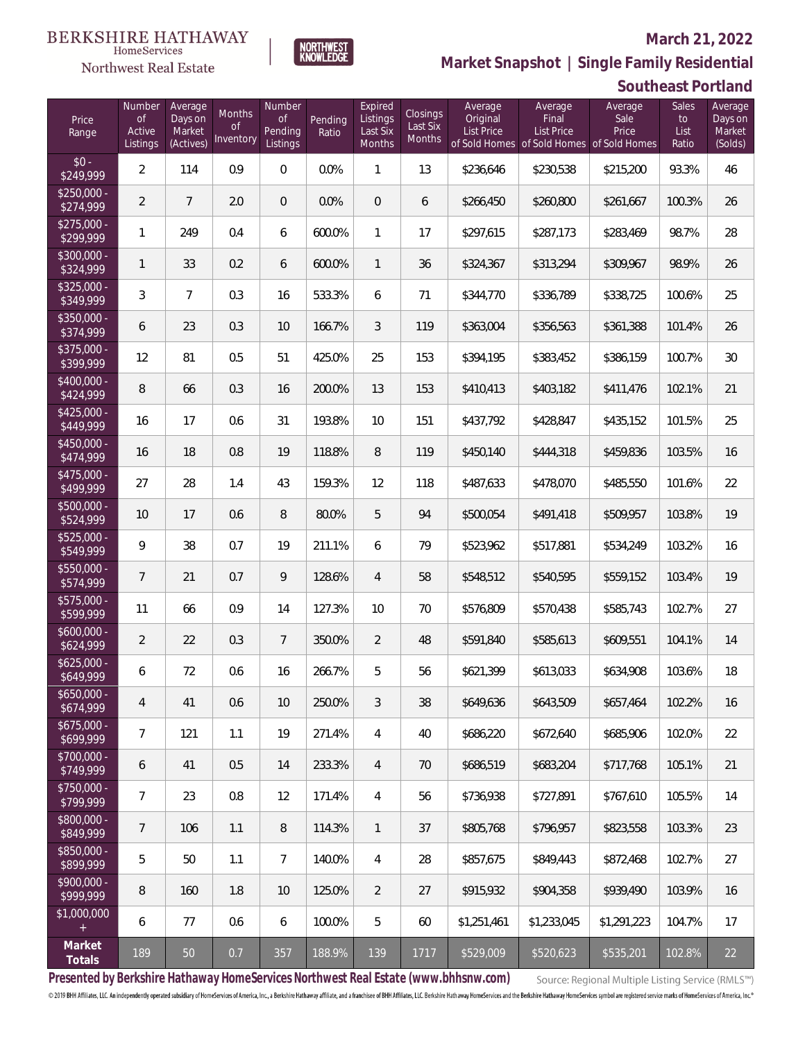## Northwest Real Estate

### **March 21, 2022**



## **Southeast Portland**

| Price<br>Range            | Number<br><b>of</b><br>Active<br>Listings | Average<br>Days on<br>Market<br>(Actives) | Months<br><b>of</b><br>Inventory | Number<br><b>of</b><br>Pending<br>Listings | Pending<br>Ratio | Expired<br>Listings<br>Last Six<br>Months | Closings<br>Last Six<br>Months | Average<br>Original<br><b>List Price</b> | Average<br>Final<br><b>List Price</b><br>of Sold Homes of Sold Homes of Sold Homes | Average<br>Sale<br>Price | Sales<br>to<br>List<br>Ratio | Average<br>Days on<br>Market<br>(Solds) |
|---------------------------|-------------------------------------------|-------------------------------------------|----------------------------------|--------------------------------------------|------------------|-------------------------------------------|--------------------------------|------------------------------------------|------------------------------------------------------------------------------------|--------------------------|------------------------------|-----------------------------------------|
| $$0 -$<br>\$249,999       | $\overline{2}$                            | 114                                       | 0.9                              | $\overline{0}$                             | 0.0%             | 1                                         | 13                             | \$236,646                                | \$230,538                                                                          | \$215,200                | 93.3%                        | 46                                      |
| $$250,000 -$<br>\$274,999 | $\overline{2}$                            | $\overline{7}$                            | 2.0                              | $\overline{0}$                             | 0.0%             | $\overline{0}$                            | 6                              | \$266,450                                | \$260,800                                                                          | \$261,667                | 100.3%                       | 26                                      |
| $$275,000 -$<br>\$299,999 | $\mathbf{1}$                              | 249                                       | 0.4                              | 6                                          | 600.0%           | 1                                         | 17                             | \$297,615                                | \$287,173                                                                          | \$283,469                | 98.7%                        | 28                                      |
| $$300,000 -$<br>\$324,999 | $\mathbf{1}$                              | 33                                        | 0.2                              | 6                                          | 600.0%           | $\mathbf{1}$                              | 36                             | \$324,367                                | \$313,294                                                                          | \$309,967                | 98.9%                        | 26                                      |
| $$325,000 -$<br>\$349,999 | 3                                         | $\overline{7}$                            | 0.3                              | 16                                         | 533.3%           | 6                                         | 71                             | \$344,770                                | \$336,789                                                                          | \$338,725                | 100.6%                       | 25                                      |
| $$350,000 -$<br>\$374,999 | 6                                         | 23                                        | 0.3                              | 10                                         | 166.7%           | 3                                         | 119                            | \$363,004                                | \$356,563                                                                          | \$361,388                | 101.4%                       | 26                                      |
| $$375,000 -$<br>\$399,999 | 12                                        | 81                                        | 0.5                              | 51                                         | 425.0%           | 25                                        | 153                            | \$394,195                                | \$383,452                                                                          | \$386,159                | 100.7%                       | 30                                      |
| $$400,000 -$<br>\$424,999 | 8                                         | 66                                        | 0.3                              | 16                                         | 200.0%           | 13                                        | 153                            | \$410,413                                | \$403,182                                                                          | \$411,476                | 102.1%                       | 21                                      |
| $$425,000 -$<br>\$449,999 | 16                                        | 17                                        | 0.6                              | 31                                         | 193.8%           | 10                                        | 151                            | \$437,792                                | \$428,847                                                                          | \$435,152                | 101.5%                       | 25                                      |
| $$450,000 -$<br>\$474,999 | 16                                        | 18                                        | 0.8                              | 19                                         | 118.8%           | 8                                         | 119                            | \$450,140                                | \$444,318                                                                          | \$459,836                | 103.5%                       | 16                                      |
| $$475,000 -$<br>\$499,999 | 27                                        | 28                                        | 1.4                              | 43                                         | 159.3%           | 12                                        | 118                            | \$487,633                                | \$478,070                                                                          | \$485,550                | 101.6%                       | 22                                      |
| \$500,000 -<br>\$524,999  | 10                                        | 17                                        | 0.6                              | 8                                          | 80.0%            | 5                                         | 94                             | \$500,054                                | \$491,418                                                                          | \$509,957                | 103.8%                       | 19                                      |
| $$525,000 -$<br>\$549,999 | 9                                         | 38                                        | 0.7                              | 19                                         | 211.1%           | 6                                         | 79                             | \$523,962                                | \$517,881                                                                          | \$534,249                | 103.2%                       | 16                                      |
| $$550,000 -$<br>\$574,999 | $\overline{7}$                            | 21                                        | 0.7                              | 9                                          | 128.6%           | $\overline{4}$                            | 58                             | \$548,512                                | \$540,595                                                                          | \$559,152                | 103.4%                       | 19                                      |
| $$575,000 -$<br>\$599,999 | 11                                        | 66                                        | 0.9                              | 14                                         | 127.3%           | 10                                        | 70                             | \$576,809                                | \$570,438                                                                          | \$585,743                | 102.7%                       | 27                                      |
| $$600,000 -$<br>\$624,999 | $\overline{2}$                            | 22                                        | 0.3                              | $\overline{7}$                             | 350.0%           | $\overline{2}$                            | 48                             | \$591,840                                | \$585,613                                                                          | \$609,551                | 104.1%                       | 14                                      |
| $$625,000 -$<br>\$649,999 | 6                                         | 72                                        | 0.6                              | 16                                         | 266.7%           | 5                                         | 56                             | \$621,399                                | \$613,033                                                                          | \$634,908                | 103.6%                       | 18                                      |
| $$650,000 -$<br>\$674,999 | 4                                         | 41                                        | 0.6                              | 10                                         | 250.0%           | 3                                         | 38                             | \$649,636                                | \$643,509                                                                          | \$657,464                | 102.2%                       | 16                                      |
| $$675,000 -$<br>\$699,999 | $\overline{7}$                            | 121                                       | 1.1                              | 19                                         | 271.4%           | 4                                         | 40                             | \$686,220                                | \$672,640                                                                          | \$685,906                | 102.0%                       | 22                                      |
| \$700,000 -<br>\$749,999  | 6                                         | 41                                        | 0.5                              | 14                                         | 233.3%           | 4                                         | 70                             | \$686,519                                | \$683,204                                                                          | \$717,768                | 105.1%                       | 21                                      |
| \$750,000 -<br>\$799,999  | 7                                         | 23                                        | 0.8                              | 12                                         | 171.4%           | 4                                         | 56                             | \$736,938                                | \$727,891                                                                          | \$767,610                | 105.5%                       | 14                                      |
| \$800,000 -<br>\$849,999  | $\overline{7}$                            | 106                                       | 1.1                              | 8                                          | 114.3%           | $\mathbf{1}$                              | 37                             | \$805,768                                | \$796,957                                                                          | \$823,558                | 103.3%                       | 23                                      |
| \$850,000 -<br>\$899,999  | 5                                         | 50                                        | 1.1                              | $\overline{7}$                             | 140.0%           | 4                                         | 28                             | \$857,675                                | \$849,443                                                                          | \$872,468                | 102.7%                       | 27                                      |
| \$900,000 -<br>\$999,999  | 8                                         | 160                                       | 1.8                              | 10                                         | 125.0%           | 2                                         | 27                             | \$915,932                                | \$904,358                                                                          | \$939,490                | 103.9%                       | 16                                      |
| \$1,000,000<br>$+$        | 6                                         | 77                                        | 0.6                              | 6                                          | 100.0%           | 5                                         | 60                             | \$1,251,461                              | \$1,233,045                                                                        | \$1,291,223              | 104.7%                       | 17                                      |
| Market<br>Totals          | 189                                       | 50                                        | 0.7                              | 357                                        | 188.9%           | 139                                       | 1717                           | \$529,009                                | \$520,623                                                                          | \$535,201                | 102.8%                       | 22                                      |

NORTHWEST<br>KNOWLFDGF

**Presented by Berkshire Hathaway HomeServices Northwest Real Estate (www.bhhsnw.com)**

Source: Regional Multiple Listing Service (RMLS™)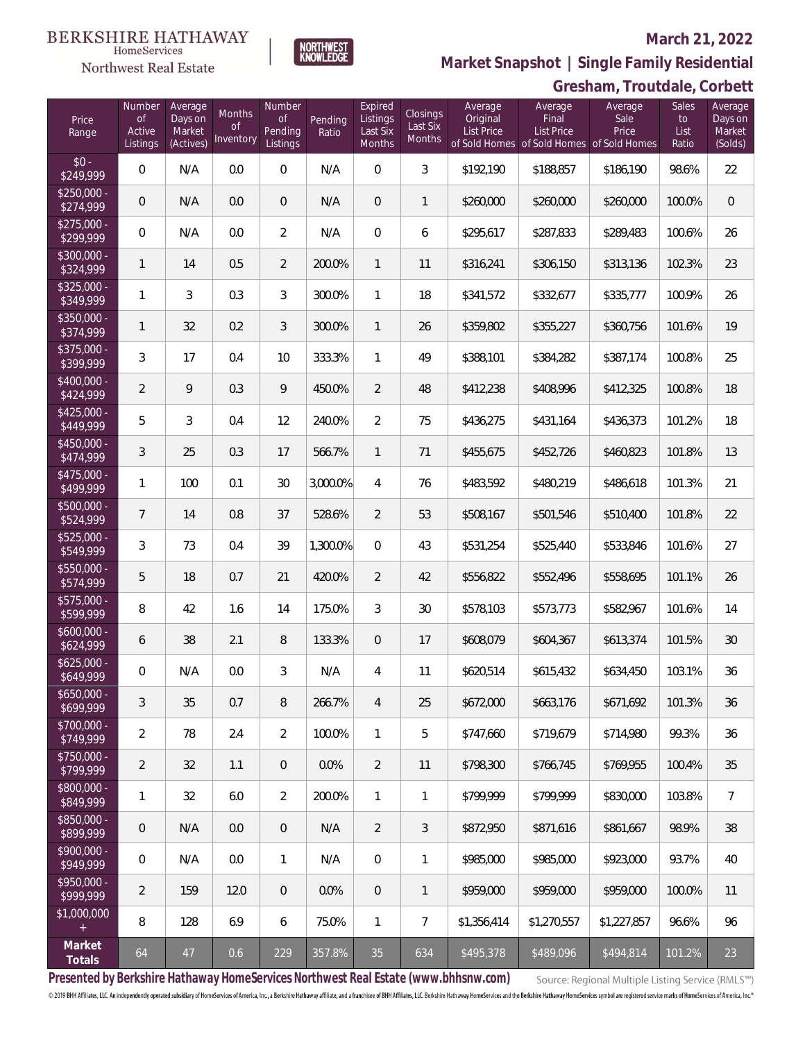#### **BERKSHIRE HATHAWAY** HomeServices

# Northwest Real Estate

## **March 21, 2022**



**Gresham, Troutdale, Corbett Market Snapshot | Single Family Residential**

| Price<br>Range            | Number<br><b>of</b><br>Active<br>Listings | Average<br>Days on<br>Market<br>(Actives) | Months<br><sub>of</sub><br>Inventory | Number<br>0f<br>Pending<br>Listings | Pending<br>Ratio | Expired<br>Listings<br>Last Six<br><b>Months</b> | Closings<br>Last Six<br>Months | Average<br>Original<br><b>List Price</b> | Average<br>Final<br><b>List Price</b><br>of Sold Homes of Sold Homes of Sold Homes | Average<br>Sale<br>Price | Sales<br>to<br>List<br>Ratio | Average<br>Days on<br>Market<br>(Solds) |
|---------------------------|-------------------------------------------|-------------------------------------------|--------------------------------------|-------------------------------------|------------------|--------------------------------------------------|--------------------------------|------------------------------------------|------------------------------------------------------------------------------------|--------------------------|------------------------------|-----------------------------------------|
| $$0 -$<br>\$249,999       | $\mathbf{0}$                              | N/A                                       | 0.0                                  | 0                                   | N/A              | $\Omega$                                         | 3                              | \$192,190                                | \$188,857                                                                          | \$186,190                | 98.6%                        | 22                                      |
| $$250.000 -$<br>\$274,999 | $\overline{0}$                            | N/A                                       | 0.0                                  | $\overline{0}$                      | N/A              | $\Omega$                                         | 1                              | \$260,000                                | \$260,000                                                                          | \$260,000                | 100.0%                       | $\overline{0}$                          |
| $$275,000 -$<br>\$299,999 | $\mathbf{0}$                              | N/A                                       | 0.0                                  | 2                                   | N/A              | $\Omega$                                         | 6                              | \$295,617                                | \$287,833                                                                          | \$289,483                | 100.6%                       | 26                                      |
| \$300,000 -<br>\$324,999  | $\mathbf{1}$                              | 14                                        | 0.5                                  | $\overline{2}$                      | 200.0%           | $\mathbf{1}$                                     | 11                             | \$316,241                                | \$306,150                                                                          | \$313,136                | 102.3%                       | 23                                      |
| $$325,000 -$<br>\$349,999 | 1                                         | 3                                         | 0.3                                  | 3                                   | 300.0%           | $\mathbf{1}$                                     | 18                             | \$341,572                                | \$332,677                                                                          | \$335,777                | 100.9%                       | 26                                      |
| $$350,000 -$<br>\$374,999 | $\mathbf{1}$                              | 32                                        | 0.2                                  | 3                                   | 300.0%           | $\mathbf{1}$                                     | 26                             | \$359,802                                | \$355,227                                                                          | \$360,756                | 101.6%                       | 19                                      |
| $$375,000 -$<br>\$399,999 | 3                                         | 17                                        | 0.4                                  | 10                                  | 333.3%           | $\mathbf{1}$                                     | 49                             | \$388,101                                | \$384,282                                                                          | \$387,174                | 100.8%                       | 25                                      |
| \$400,000 -<br>\$424,999  | $\overline{2}$                            | 9                                         | 0.3                                  | 9                                   | 450.0%           | $\overline{2}$                                   | 48                             | \$412,238                                | \$408,996                                                                          | \$412,325                | 100.8%                       | 18                                      |
| \$425,000 -<br>\$449,999  | 5                                         | 3                                         | 0.4                                  | 12                                  | 240.0%           | $\overline{2}$                                   | 75                             | \$436,275                                | \$431,164                                                                          | \$436,373                | 101.2%                       | 18                                      |
| \$450,000 -<br>\$474,999  | 3                                         | 25                                        | 0.3                                  | 17                                  | 566.7%           | $\mathbf{1}$                                     | 71                             | \$455,675                                | \$452,726                                                                          | \$460,823                | 101.8%                       | 13                                      |
| $$475,000 -$<br>\$499,999 | $\mathbf{1}$                              | 100                                       | 0.1                                  | 30                                  | 3,000.0%         | $\overline{4}$                                   | 76                             | \$483,592                                | \$480,219                                                                          | \$486,618                | 101.3%                       | 21                                      |
| \$500,000 -<br>\$524,999  | $\overline{7}$                            | 14                                        | 0.8                                  | 37                                  | 528.6%           | $\overline{2}$                                   | 53                             | \$508,167                                | \$501,546                                                                          | \$510,400                | 101.8%                       | 22                                      |
| $$525,000 -$<br>\$549,999 | 3                                         | 73                                        | 0.4                                  | 39                                  | 1,300.0%         | $\Omega$                                         | 43                             | \$531,254                                | \$525,440                                                                          | \$533,846                | 101.6%                       | 27                                      |
| \$550,000 -<br>\$574,999  | 5                                         | 18                                        | 0.7                                  | 21                                  | 420.0%           | $\overline{2}$                                   | 42                             | \$556,822                                | \$552,496                                                                          | \$558,695                | 101.1%                       | 26                                      |
| $$575,000 -$<br>\$599,999 | 8                                         | 42                                        | 1.6                                  | 14                                  | 175.0%           | 3                                                | 30                             | \$578,103                                | \$573,773                                                                          | \$582,967                | 101.6%                       | 14                                      |
| $$600,000 -$<br>\$624,999 | 6                                         | 38                                        | 2.1                                  | 8                                   | 133.3%           | $\overline{0}$                                   | 17                             | \$608,079                                | \$604,367                                                                          | \$613,374                | 101.5%                       | 30                                      |
| $$625,000 -$<br>\$649,999 | $\mathbf 0$                               | N/A                                       | 0.0                                  | 3                                   | N/A              | 4                                                | 11                             | \$620,514                                | \$615,432                                                                          | \$634,450                | 103.1%                       | 36                                      |
| $$650,000 -$<br>\$699,999 | $\sqrt{3}$                                | 35                                        | 0.7                                  | 8                                   | 266.7%           | $\overline{4}$                                   | 25                             | \$672,000                                | \$663,176                                                                          | \$671,692                | 101.3%                       | 36                                      |
| \$700,000 -<br>\$749,999  | $\overline{2}$                            | 78                                        | 2.4                                  | $\overline{2}$                      | 100.0%           | $\mathbf{1}$                                     | 5                              | \$747,660                                | \$719,679                                                                          | \$714,980                | 99.3%                        | 36                                      |
| \$750,000 -<br>\$799,999  | $\overline{2}$                            | 32                                        | 1.1                                  | $\overline{0}$                      | 0.0%             | $\overline{2}$                                   | 11                             | \$798,300                                | \$766,745                                                                          | \$769,955                | 100.4%                       | 35                                      |
| \$800,000 -<br>\$849,999  | $\mathbf{1}$                              | 32                                        | 6.0                                  | $\overline{2}$                      | 200.0%           | $\mathbf{1}$                                     | 1                              | \$799,999                                | \$799,999                                                                          | \$830,000                | 103.8%                       | $\overline{7}$                          |
| \$850,000 -<br>\$899,999  | $\mathbf 0$                               | N/A                                       | 0.0                                  | 0                                   | N/A              | $\overline{2}$                                   | $\mathfrak{Z}$                 | \$872,950                                | \$871,616                                                                          | \$861,667                | 98.9%                        | 38                                      |
| \$900,000 -<br>\$949,999  | 0                                         | N/A                                       | 0.0                                  | $\mathbf{1}$                        | N/A              | $\mathbf 0$                                      | 1                              | \$985,000                                | \$985,000                                                                          | \$923,000                | 93.7%                        | 40                                      |
| \$950,000 -<br>\$999,999  | $\overline{2}$                            | 159                                       | 12.0                                 | $\overline{0}$                      | 0.0%             | $\mathbf 0$                                      | 1                              | \$959,000                                | \$959,000                                                                          | \$959,000                | 100.0%                       | 11                                      |
| \$1,000,000<br>$^{+}$     | 8                                         | 128                                       | 6.9                                  | 6                                   | 75.0%            | $\mathbf{1}$                                     | $7\phantom{.}$                 | \$1,356,414                              | \$1,270,557                                                                        | \$1,227,857              | 96.6%                        | 96                                      |
| Market<br>Totals          | 64                                        | 47                                        | 0.6                                  | 229                                 | 357.8%           | 35                                               | 634                            | \$495,378                                | \$489,096                                                                          | \$494,814                | 101.2%                       | 23                                      |

**Presented by Berkshire Hathaway HomeServices Northwest Real Estate (www.bhhsnw.com)**

Source: Regional Multiple Listing Service (RMLS™)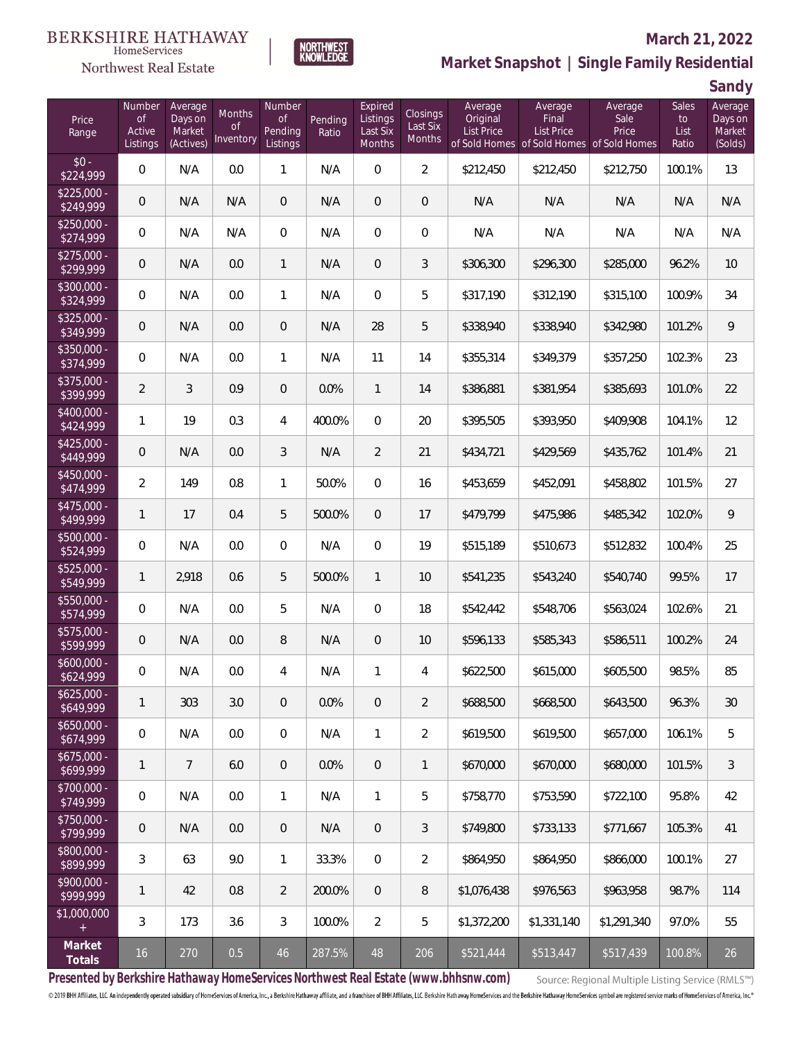# Northwest Real Estate

## **March 21, 2022**



# **Market Snapshot | Single Family Residential**

**Sandy**

| Price<br>Range            | Number<br><b>of</b><br>Active<br>Listings | Average<br>Days on<br>Market<br>(Actives) | Months<br>0f<br>Inventory | Number<br>Οf<br>Pending<br>Listings | Pending<br>Ratio | Expired<br>Listings<br>Last Six<br>Months | <b>Closings</b><br>Last Six<br><b>Months</b> | Average<br>Original<br><b>List Price</b> | Average<br>Final<br><b>List Price</b> | Average<br>Sale<br>Price<br>of Sold Homes of Sold Homes of Sold Homes | <b>Sales</b><br>to<br>List<br>Ratio | Average<br>Days on<br>Market<br>(Solds) |
|---------------------------|-------------------------------------------|-------------------------------------------|---------------------------|-------------------------------------|------------------|-------------------------------------------|----------------------------------------------|------------------------------------------|---------------------------------------|-----------------------------------------------------------------------|-------------------------------------|-----------------------------------------|
| $$0 -$<br>\$224,999       | $\overline{0}$                            | N/A                                       | 0.0                       | $\mathbf{1}$                        | N/A              | $\overline{0}$                            | $\overline{2}$                               | \$212,450                                | \$212,450                             | \$212,750                                                             | 100.1%                              | 13                                      |
| $$225.000 -$<br>\$249,999 | $\mathbf 0$                               | N/A                                       | N/A                       | $\overline{0}$                      | N/A              | $\overline{0}$                            | $\mathbf 0$                                  | N/A                                      | N/A                                   | N/A                                                                   | N/A                                 | N/A                                     |
| $$250.000 -$<br>\$274,999 | $\mathbf 0$                               | N/A                                       | N/A                       | $\overline{0}$                      | N/A              | $\overline{0}$                            | 0                                            | N/A                                      | N/A                                   | N/A                                                                   | N/A                                 | N/A                                     |
| $$275.000 -$<br>\$299,999 | $\mathbf 0$                               | N/A                                       | 0.0                       | $\mathbf{1}$                        | N/A              | $\overline{0}$                            | 3                                            | \$306,300                                | \$296,300                             | \$285,000                                                             | 96.2%                               | 10                                      |
| $$300,000 -$<br>\$324,999 | $\overline{0}$                            | N/A                                       | 0.0                       | $\mathbf{1}$                        | N/A              | $\overline{0}$                            | 5                                            | \$317,190                                | \$312,190                             | \$315,100                                                             | 100.9%                              | 34                                      |
| $$325,000 -$<br>\$349,999 | $\mathbf 0$                               | N/A                                       | 0.0                       | $\overline{0}$                      | N/A              | 28                                        | 5                                            | \$338,940                                | \$338,940                             | \$342,980                                                             | 101.2%                              | 9                                       |
| \$350,000 -<br>\$374,999  | $\overline{0}$                            | N/A                                       | 0.0                       | $\mathbf{1}$                        | N/A              | 11                                        | 14                                           | \$355,314                                | \$349,379                             | \$357,250                                                             | 102.3%                              | 23                                      |
| $$375,000 -$<br>\$399,999 | $\overline{2}$                            | 3                                         | 0.9                       | $\overline{0}$                      | 0.0%             | $\mathbf{1}$                              | 14                                           | \$386,881                                | \$381,954                             | \$385,693                                                             | 101.0%                              | 22                                      |
| $$400,000 -$<br>\$424,999 | $\mathbf{1}$                              | 19                                        | 0.3                       | 4                                   | 400.0%           | $\overline{0}$                            | 20                                           | \$395,505                                | \$393,950                             | \$409,908                                                             | 104.1%                              | 12                                      |
| \$425,000 -<br>\$449,999  | $\mathbf 0$                               | N/A                                       | 0.0                       | 3                                   | N/A              | $\overline{2}$                            | 21                                           | \$434,721                                | \$429,569                             | \$435,762                                                             | 101.4%                              | 21                                      |
| \$450,000 -<br>\$474,999  | $\overline{2}$                            | 149                                       | 0.8                       | $\mathbf{1}$                        | 50.0%            | $\overline{0}$                            | 16                                           | \$453,659                                | \$452,091                             | \$458,802                                                             | 101.5%                              | 27                                      |
| $$475,000 -$<br>\$499,999 | $\mathbf{1}$                              | 17                                        | 0.4                       | 5                                   | 500.0%           | $\overline{0}$                            | 17                                           | \$479,799                                | \$475,986                             | \$485,342                                                             | 102.0%                              | 9                                       |
| \$500,000 -<br>\$524,999  | $\overline{0}$                            | N/A                                       | 0.0                       | $\overline{0}$                      | N/A              | $\overline{0}$                            | 19                                           | \$515,189                                | \$510,673                             | \$512,832                                                             | 100.4%                              | 25                                      |
| \$525,000 -<br>\$549,999  | $\mathbf{1}$                              | 2,918                                     | 0.6                       | 5                                   | 500.0%           | $\mathbf{1}$                              | 10                                           | \$541,235                                | \$543,240                             | \$540,740                                                             | 99.5%                               | 17                                      |
| \$550,000 -<br>\$574,999  | $\mathbf 0$                               | N/A                                       | $0.0\,$                   | 5                                   | N/A              | $\overline{0}$                            | 18                                           | \$542,442                                | \$548,706                             | \$563,024                                                             | 102.6%                              | 21                                      |
| $$575,000 -$<br>\$599,999 | $\mathbf 0$                               | N/A                                       | 0.0                       | $\, 8$                              | N/A              | $\overline{0}$                            | 10                                           | \$596,133                                | \$585,343                             | \$586,511                                                             | 100.2%                              | 24                                      |
| $$600,000 -$<br>\$624,999 | 0                                         | N/A                                       | 0.0                       | 4                                   | N/A              | $\mathbf{1}$                              | 4                                            | \$622,500                                | \$615,000                             | \$605,500                                                             | 98.5%                               | 85                                      |
| $$625,000 -$<br>\$649,999 | $\mathbf{1}$                              | 303                                       | 3.0                       | $\theta$                            | 0.0%             | $\mathbf 0$                               | $\overline{2}$                               | \$688,500                                | \$668,500                             | \$643,500                                                             | 96.3%                               | 30                                      |
| $$650,000 -$<br>\$674,999 | 0                                         | N/A                                       | 0.0                       | 0                                   | N/A              | $\mathbf{1}$                              | $\overline{2}$                               | \$619,500                                | \$619,500                             | \$657,000                                                             | 106.1%                              | 5                                       |
| $$675,000 -$<br>5699,999  | $\mathbf{1}$                              | $\overline{7}$                            | 6.0                       | $\overline{0}$                      | 0.0%             | $\overline{0}$                            | $\mathbf{1}$                                 | \$670,000                                | \$670,000                             | \$680,000                                                             | 101.5%                              | 3                                       |
| \$700,000 -<br>\$749,999  | $\overline{0}$                            | N/A                                       | 0.0                       | $\mathbf{1}$                        | N/A              | $\mathbf{1}$                              | 5                                            | \$758,770                                | \$753,590                             | \$722,100                                                             | 95.8%                               | 42                                      |
| \$750,000 -<br>\$799,999  | $\mathbf 0$                               | N/A                                       | 0.0                       | $\overline{0}$                      | N/A              | $\overline{0}$                            | 3                                            | \$749,800                                | \$733,133                             | \$771,667                                                             | 105.3%                              | 41                                      |
| \$800,000 -<br>\$899,999  | $\sqrt{3}$                                | 63                                        | 9.0                       | $\mathbf{1}$                        | 33.3%            | $\mathbf 0$                               | $\overline{2}$                               | \$864,950                                | \$864,950                             | \$866,000                                                             | 100.1%                              | 27                                      |
| \$900,000 -<br>\$999,999  | $\mathbf{1}$                              | 42                                        | 0.8                       | $\overline{2}$                      | 200.0%           | $\overline{0}$                            | $\, 8$                                       | \$1,076,438                              | \$976,563                             | \$963,958                                                             | 98.7%                               | 114                                     |
| \$1,000,000<br>$+$        | 3                                         | 173                                       | 3.6                       | 3                                   | 100.0%           | $\overline{2}$                            | 5                                            | \$1,372,200                              | \$1,331,140                           | \$1,291,340                                                           | 97.0%                               | 55                                      |
| Market<br>Totals          | $16$                                      | 270                                       | 0.5                       | 46                                  | 287.5%           | 48                                        | 206                                          | \$521,444                                | \$513,447                             | \$517,439                                                             | 100.8%                              | 26                                      |

**Presented by Berkshire Hathaway HomeServices Northwest Real Estate (www.bhhsnw.com)**

Source: Regional Multiple Listing Service (RMLS™)